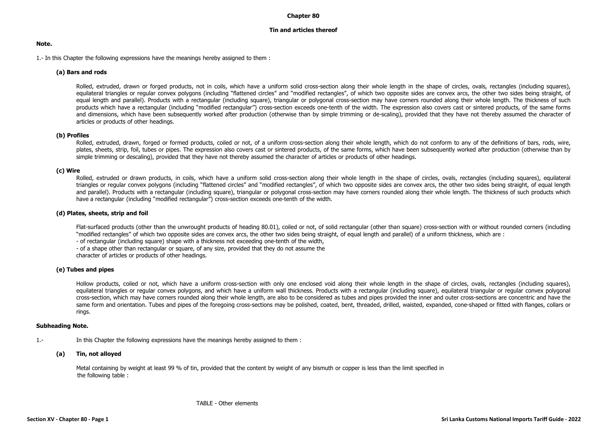## **Chapter 80**

# **Tin and articles thereof**

## **Note.**

1.- In this Chapter the following expressions have the meanings hereby assigned to them :

# **(a) Bars and rods**

Rolled, extruded, drawn or forged products, not in coils, which have a uniform solid cross-section along their whole length in the shape of circles, ovals, rectangles (including squares), equilateral triangles or regular convex polygons (including "flattened circles" and "modified rectangles", of which two opposite sides are convex arcs, the other two sides being straight, of equal length and parallel). Products with a rectangular (including square), triangular or polygonal cross-section may have corners rounded along their whole length. The thickness of such products which have a rectangular (including "modified rectangular") cross-section exceeds one-tenth of the width. The expression also covers cast or sintered products, of the same forms and dimensions, which have been subsequently worked after production (otherwise than by simple trimming or de-scaling), provided that they have not thereby assumed the character of articles or products of other headings.

# **(b) Profiles**

Rolled, extruded, drawn, forged or formed products, coiled or not, of a uniform cross-section along their whole length, which do not conform to any of the definitions of bars, rods, wire, plates, sheets, strip, foil, tubes or pipes. The expression also covers cast or sintered products, of the same forms, which have been subsequently worked after production (otherwise than by simple trimming or descaling), provided that they have not thereby assumed the character of articles or products of other headings.

# **(c) Wire**

Rolled, extruded or drawn products, in coils, which have a uniform solid cross-section along their whole length in the shape of circles, ovals, rectangles (including squares), equilateral triangles or regular convex polygons (including "flattened circles" and "modified rectangles", of which two opposite sides are convex arcs, the other two sides being straight, of equal length and parallel). Products with a rectangular (including square), triangular or polygonal cross-section may have corners rounded along their whole length. The thickness of such products which have a rectangular (including "modified rectangular") cross-section exceeds one-tenth of the width.

## **(d) Plates, sheets, strip and foil**

Flat-surfaced products (other than the unwrought products of heading 80.01), coiled or not, of solid rectangular (other than square) cross-section with or without rounded corners (including "modified rectangles" of which two opposite sides are convex arcs, the other two sides being straight, of equal length and parallel) of a uniform thickness, which are :

- of rectangular (including square) shape with a thickness not exceeding one-tenth of the width,

- of a shape other than rectangular or square, of any size, provided that they do not assume the

character of articles or products of other headings.

#### **(e) Tubes and pipes**

Hollow products, coiled or not, which have a uniform cross-section with only one enclosed void along their whole length in the shape of circles, ovals, rectangles (including squares), equilateral triangles or regular convex polygons, and which have a uniform wall thickness. Products with a rectangular (including square), equilateral triangular or regular convex polygonal cross-section, which may have corners rounded along their whole length, are also to be considered as tubes and pipes provided the inner and outer cross-sections are concentric and have the same form and orientation. Tubes and pipes of the foregoing cross-sections may be polished, coated, bent, threaded, drilled, waisted, expanded, cone-shaped or fitted with flanges, collars or rings.

#### **Subheading Note.**

1.- In this Chapter the following expressions have the meanings hereby assigned to them :

#### **(a) Tin, not alloyed**

Metal containing by weight at least 99 % of tin, provided that the content by weight of any bismuth or copper is less than the limit specified in the following table :

TABLE - Other elements